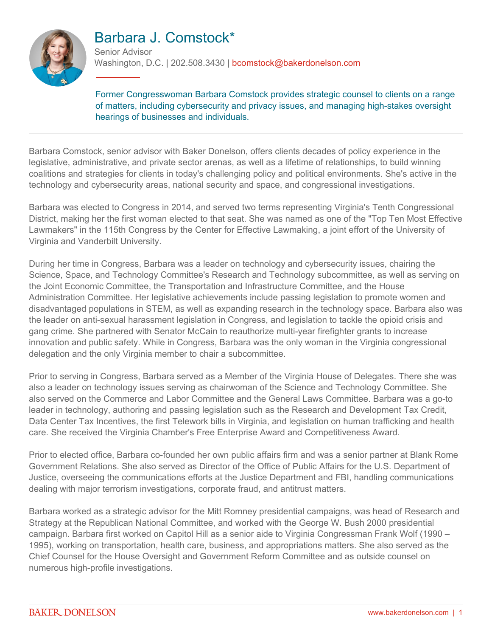

# Barbara J. Comstock\*

Senior Advisor Washington, D.C. | 202.508.3430 | bcomstock@bakerdonelson.com

Former Congresswoman Barbara Comstock provides strategic counsel to clients on a range of matters, including cybersecurity and privacy issues, and managing high-stakes oversight hearings of businesses and individuals.

Barbara Comstock, senior advisor with Baker Donelson, offers clients decades of policy experience in the legislative, administrative, and private sector arenas, as well as a lifetime of relationships, to build winning coalitions and strategies for clients in today's challenging policy and political environments. She's active in the technology and cybersecurity areas, national security and space, and congressional investigations.

Barbara was elected to Congress in 2014, and served two terms representing Virginia's Tenth Congressional District, making her the first woman elected to that seat. She was named as one of the "Top Ten Most Effective Lawmakers" in the 115th Congress by the Center for Effective Lawmaking, a joint effort of the University of Virginia and Vanderbilt University.

During her time in Congress, Barbara was a leader on technology and cybersecurity issues, chairing the Science, Space, and Technology Committee's Research and Technology subcommittee, as well as serving on the Joint Economic Committee, the Transportation and Infrastructure Committee, and the House Administration Committee. Her legislative achievements include passing legislation to promote women and disadvantaged populations in STEM, as well as expanding research in the technology space. Barbara also was the leader on anti-sexual harassment legislation in Congress, and legislation to tackle the opioid crisis and gang crime. She partnered with Senator McCain to reauthorize multi-year firefighter grants to increase innovation and public safety. While in Congress, Barbara was the only woman in the Virginia congressional delegation and the only Virginia member to chair a subcommittee.

Prior to serving in Congress, Barbara served as a Member of the Virginia House of Delegates. There she was also a leader on technology issues serving as chairwoman of the Science and Technology Committee. She also served on the Commerce and Labor Committee and the General Laws Committee. Barbara was a go-to leader in technology, authoring and passing legislation such as the Research and Development Tax Credit, Data Center Tax Incentives, the first Telework bills in Virginia, and legislation on human trafficking and health care. She received the Virginia Chamber's Free Enterprise Award and Competitiveness Award.

Prior to elected office, Barbara co-founded her own public affairs firm and was a senior partner at Blank Rome Government Relations. She also served as Director of the Office of Public Affairs for the U.S. Department of Justice, overseeing the communications efforts at the Justice Department and FBI, handling communications dealing with major terrorism investigations, corporate fraud, and antitrust matters.

Barbara worked as a strategic advisor for the Mitt Romney presidential campaigns, was head of Research and Strategy at the Republican National Committee, and worked with the George W. Bush 2000 presidential campaign. Barbara first worked on Capitol Hill as a senior aide to Virginia Congressman Frank Wolf (1990 – 1995), working on transportation, health care, business, and appropriations matters. She also served as the Chief Counsel for the House Oversight and Government Reform Committee and as outside counsel on numerous high-profile investigations.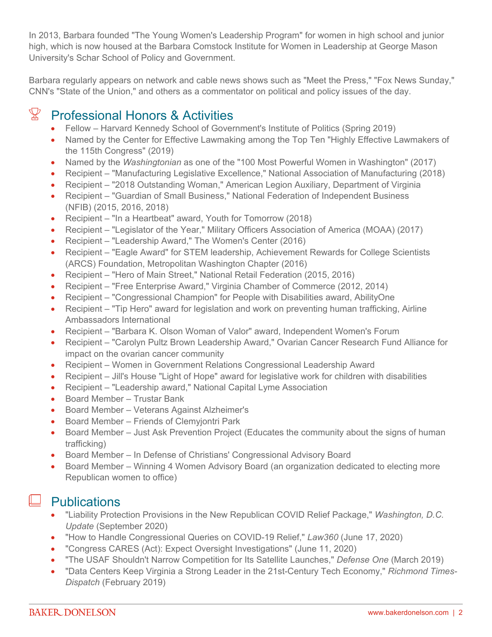In 2013, Barbara founded "The Young Women's Leadership Program" for women in high school and junior high, which is now housed at the Barbara Comstock Institute for Women in Leadership at George Mason University's Schar School of Policy and Government.

Barbara regularly appears on network and cable news shows such as "Meet the Press," "Fox News Sunday," CNN's "State of the Union," and others as a commentator on political and policy issues of the day.

# $\mathbb{X}$  Professional Honors & Activities

- Fellow Harvard Kennedy School of Government's Institute of Politics (Spring 2019)
- Named by the Center for Effective Lawmaking among the Top Ten "Highly Effective Lawmakers of the 115th Congress" (2019)
- Named by the *Washingtonian* as one of the "100 Most Powerful Women in Washington" (2017)
- Recipient "Manufacturing Legislative Excellence," National Association of Manufacturing (2018)
- Recipient "2018 Outstanding Woman," American Legion Auxiliary, Department of Virginia
- Recipient "Guardian of Small Business," National Federation of Independent Business (NFIB) (2015, 2016, 2018)
- Recipient "In a Heartbeat" award, Youth for Tomorrow (2018)
- Recipient "Legislator of the Year," Military Officers Association of America (MOAA) (2017)
- Recipient "Leadership Award," The Women's Center (2016)
- Recipient "Eagle Award" for STEM leadership, Achievement Rewards for College Scientists (ARCS) Foundation, Metropolitan Washington Chapter (2016)
- Recipient "Hero of Main Street," National Retail Federation (2015, 2016)
- Recipient "Free Enterprise Award," Virginia Chamber of Commerce (2012, 2014)
- Recipient "Congressional Champion" for People with Disabilities award, AbilityOne
- Recipient "Tip Hero" award for legislation and work on preventing human trafficking, Airline Ambassadors International
- Recipient "Barbara K. Olson Woman of Valor" award, Independent Women's Forum
- Recipient "Carolyn Pultz Brown Leadership Award," Ovarian Cancer Research Fund Alliance for impact on the ovarian cancer community
- Recipient Women in Government Relations Congressional Leadership Award
- Recipient Jill's House "Light of Hope" award for legislative work for children with disabilities
- Recipient "Leadership award," National Capital Lyme Association
- Board Member Trustar Bank
- Board Member Veterans Against Alzheimer's
- Board Member Friends of Clemyjontri Park
- Board Member Just Ask Prevention Project (Educates the community about the signs of human trafficking)
- Board Member In Defense of Christians' Congressional Advisory Board
- Board Member Winning 4 Women Advisory Board (an organization dedicated to electing more Republican women to office)

### $\Box$  Publications

- "Liability Protection Provisions in the New Republican COVID Relief Package," *Washington, D.C. Update* (September 2020)
- "How to Handle Congressional Queries on COVID-19 Relief," *Law360* (June 17, 2020)
- "Congress CARES (Act): Expect Oversight Investigations" (June 11, 2020)
- "The USAF Shouldn't Narrow Competition for Its Satellite Launches," *Defense One* (March 2019)
- "Data Centers Keep Virginia a Strong Leader in the 21st-Century Tech Economy," *Richmond Times-Dispatch* (February 2019)